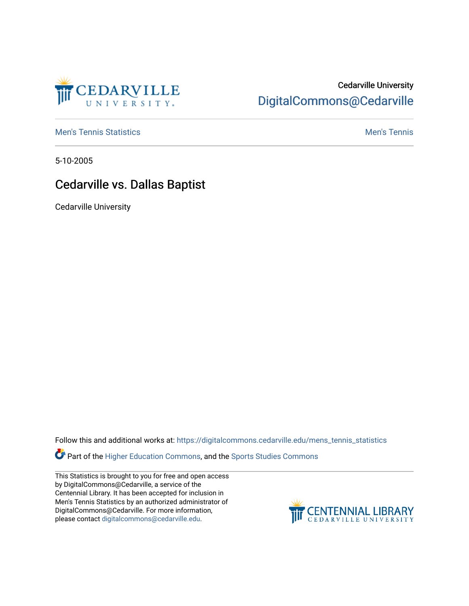

# Cedarville University [DigitalCommons@Cedarville](https://digitalcommons.cedarville.edu/)

**[Men's Tennis Statistics](https://digitalcommons.cedarville.edu/mens_tennis_statistics) Mental According to the Control of Control According Mental Men's Tennis** 

5-10-2005

## Cedarville vs. Dallas Baptist

Cedarville University

Follow this and additional works at: [https://digitalcommons.cedarville.edu/mens\\_tennis\\_statistics](https://digitalcommons.cedarville.edu/mens_tennis_statistics?utm_source=digitalcommons.cedarville.edu%2Fmens_tennis_statistics%2F606&utm_medium=PDF&utm_campaign=PDFCoverPages)

Part of the [Higher Education Commons,](http://network.bepress.com/hgg/discipline/1245?utm_source=digitalcommons.cedarville.edu%2Fmens_tennis_statistics%2F606&utm_medium=PDF&utm_campaign=PDFCoverPages) and the [Sports Studies Commons](http://network.bepress.com/hgg/discipline/1198?utm_source=digitalcommons.cedarville.edu%2Fmens_tennis_statistics%2F606&utm_medium=PDF&utm_campaign=PDFCoverPages) 

This Statistics is brought to you for free and open access by DigitalCommons@Cedarville, a service of the Centennial Library. It has been accepted for inclusion in Men's Tennis Statistics by an authorized administrator of DigitalCommons@Cedarville. For more information, please contact [digitalcommons@cedarville.edu](mailto:digitalcommons@cedarville.edu).